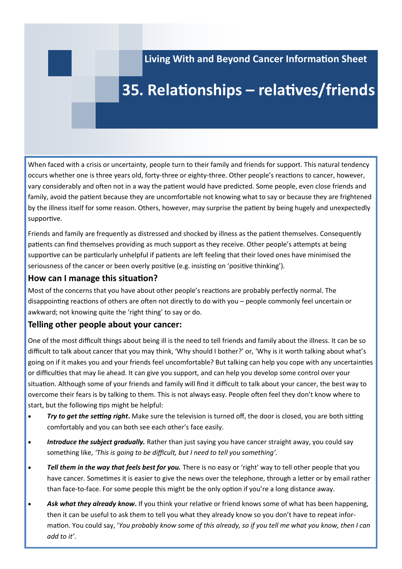**Living With and Beyond Cancer Information Sheet**

### **35. Relationships – relatives/friends**

When faced with a crisis or uncertainty, people turn to their family and friends for support. This natural tendency occurs whether one is three years old, forty-three or eighty-three. Other people's reactions to cancer, however, vary considerably and often not in a way the patient would have predicted. Some people, even close friends and family, avoid the patient because they are uncomfortable not knowing what to say or because they are frightened by the illness itself for some reason. Others, however, may surprise the patient by being hugely and unexpectedly supportive.

Friends and family are frequently as distressed and shocked by illness as the patient themselves. Consequently patients can find themselves providing as much support as they receive. Other people's attempts at being supportive can be particularly unhelpful if patients are left feeling that their loved ones have minimised the seriousness of the cancer or been overly positive (e.g. insisting on 'positive thinking').

### **How can I manage this situation?**

Most of the concerns that you have about other people's reactions are probably perfectly normal. The disappointing reactions of others are often not directly to do with you – people commonly feel uncertain or awkward; not knowing quite the 'right thing' to say or do.

### **Telling other people about your cancer:**

One of the most difficult things about being ill is the need to tell friends and family about the illness. It can be so difficult to talk about cancer that you may think, 'Why should I bother?' or, 'Why is it worth talking about what's going on if it makes you and your friends feel uncomfortable? But talking can help you cope with any uncertainties or difficulties that may lie ahead. It can give you support, and can help you develop some control over your situation. Although some of your friends and family will find it difficult to talk about your cancer, the best way to overcome their fears is by talking to them. This is not always easy. People often feel they don't know where to start, but the following tips might be helpful:

- *Try to get the setting right***.** Make sure the television is turned off, the door is closed, you are both sitting comfortably and you can both see each other's face easily.
- *Introduce the subject gradually.* Rather than just saying you have cancer straight away, you could say something like, *'This is going to be difficult, but I need to tell you something'.*
- *Tell them in the way that feels best for you.* There is no easy or 'right' way to tell other people that you have cancer. Sometimes it is easier to give the news over the telephone, through a letter or by email rather than face-to-face. For some people this might be the only option if you're a long distance away.
- Ask what they already know. If you think your relative or friend knows some of what has been happening, then it can be useful to ask them to tell you what they already know so you don't have to repeat information. You could say, '*You probably know some of this already, so if you tell me what you know, then I can add to it'*.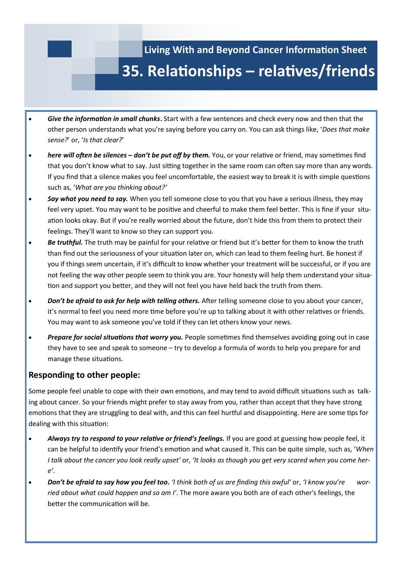

- *Give the information in small chunks***.** Start with a few sentences and check every now and then that the other person understands what you're saying before you carry on. You can ask things like, '*Does that make sense?*' or, '*Is that clear?*'
- *here will often be silences – don't be put off by them.* You, or your relative or friend, may sometimes find that you don't know what to say. Just sitting together in the same room can often say more than any words. If you find that a silence makes you feel uncomfortable, the easiest way to break it is with simple questions such as, '*What are you thinking about?'*
- *Say what you need to say.* When you tell someone close to you that you have a serious illness, they may feel very upset. You may want to be positive and cheerful to make them feel better. This is fine if your situation looks okay. But if you're really worried about the future, don't hide this from them to protect their feelings. They'll want to know so they can support you.
- *Be truthful.* The truth may be painful for your relative or friend but it's better for them to know the truth than find out the seriousness of your situation later on, which can lead to them feeling hurt. Be honest if you if things seem uncertain, if it's difficult to know whether your treatment will be successful, or if you are not feeling the way other people seem to think you are. Your honesty will help them understand your situation and support you better, and they will not feel you have held back the truth from them.
- **Don't be afraid to ask for help with telling others.** After telling someone close to you about your cancer, it's normal to feel you need more time before you're up to talking about it with other relatives or friends. You may want to ask someone you've told if they can let others know your news.
- *Prepare for social situations that worry you.* People sometimes find themselves avoiding going out in case they have to see and speak to someone – try to develop a formula of words to help you prepare for and manage these situations.

### **Responding to other people:**

Some people feel unable to cope with their own emotions, and may tend to avoid difficult situations such as talking about cancer. So your friends might prefer to stay away from you, rather than accept that they have strong emotions that they are struggling to deal with, and this can feel hurtful and disappointing. Here are some tips for dealing with this situation:

- *Always try to respond to your relative or friend's feelings.* If you are good at guessing how people feel, it can be helpful to identify your friend's emotion and what caused it. This can be quite simple, such as, '*When I talk about the cancer you look really upset'* or, *'It looks as though you get very scared when you come here'*.
- *Don't be afraid to say how you feel too***.** *'I think both of us are finding this awful'* or, *'I know you're worried about what could happen and so am I'*. The more aware you both are of each other's feelings, the better the communication will be.